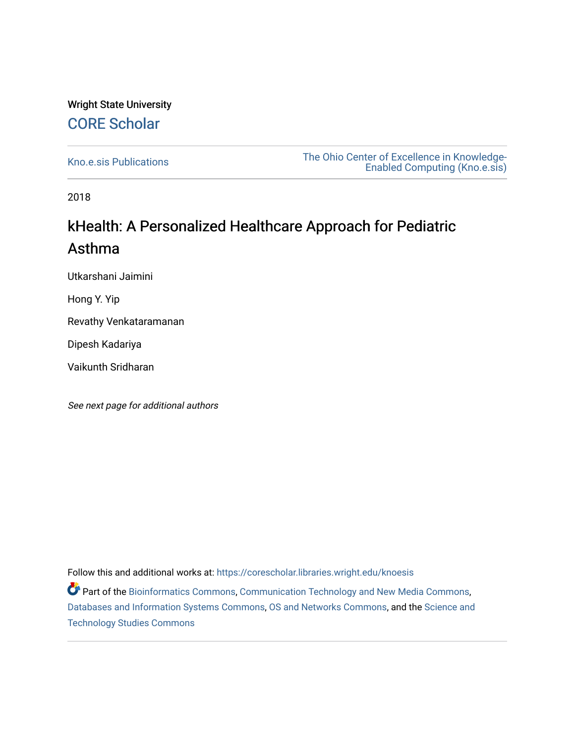#### Wright State University [CORE Scholar](https://corescholar.libraries.wright.edu/)

[Kno.e.sis Publications](https://corescholar.libraries.wright.edu/knoesis) [The Ohio Center of Excellence in Knowledge-](https://corescholar.libraries.wright.edu/knoesis_comm)[Enabled Computing \(Kno.e.sis\)](https://corescholar.libraries.wright.edu/knoesis_comm) 

2018

#### kHealth: A Personalized Healthcare Approach for Pediatric Asthma

Utkarshani Jaimini

Hong Y. Yip

Revathy Venkataramanan

Dipesh Kadariya

Vaikunth Sridharan

See next page for additional authors

Follow this and additional works at: [https://corescholar.libraries.wright.edu/knoesis](https://corescholar.libraries.wright.edu/knoesis?utm_source=corescholar.libraries.wright.edu%2Fknoesis%2F1169&utm_medium=PDF&utm_campaign=PDFCoverPages) 

Part of the [Bioinformatics Commons,](http://network.bepress.com/hgg/discipline/110?utm_source=corescholar.libraries.wright.edu%2Fknoesis%2F1169&utm_medium=PDF&utm_campaign=PDFCoverPages) [Communication Technology and New Media Commons,](http://network.bepress.com/hgg/discipline/327?utm_source=corescholar.libraries.wright.edu%2Fknoesis%2F1169&utm_medium=PDF&utm_campaign=PDFCoverPages) [Databases and Information Systems Commons](http://network.bepress.com/hgg/discipline/145?utm_source=corescholar.libraries.wright.edu%2Fknoesis%2F1169&utm_medium=PDF&utm_campaign=PDFCoverPages), [OS and Networks Commons](http://network.bepress.com/hgg/discipline/149?utm_source=corescholar.libraries.wright.edu%2Fknoesis%2F1169&utm_medium=PDF&utm_campaign=PDFCoverPages), and the [Science and](http://network.bepress.com/hgg/discipline/435?utm_source=corescholar.libraries.wright.edu%2Fknoesis%2F1169&utm_medium=PDF&utm_campaign=PDFCoverPages) [Technology Studies Commons](http://network.bepress.com/hgg/discipline/435?utm_source=corescholar.libraries.wright.edu%2Fknoesis%2F1169&utm_medium=PDF&utm_campaign=PDFCoverPages)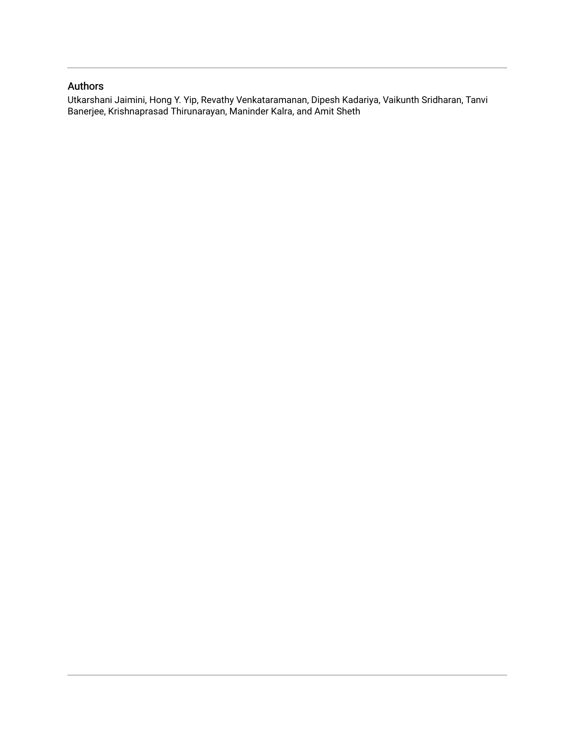#### Authors

Utkarshani Jaimini, Hong Y. Yip, Revathy Venkataramanan, Dipesh Kadariya, Vaikunth Sridharan, Tanvi Banerjee, Krishnaprasad Thirunarayan, Maninder Kalra, and Amit Sheth